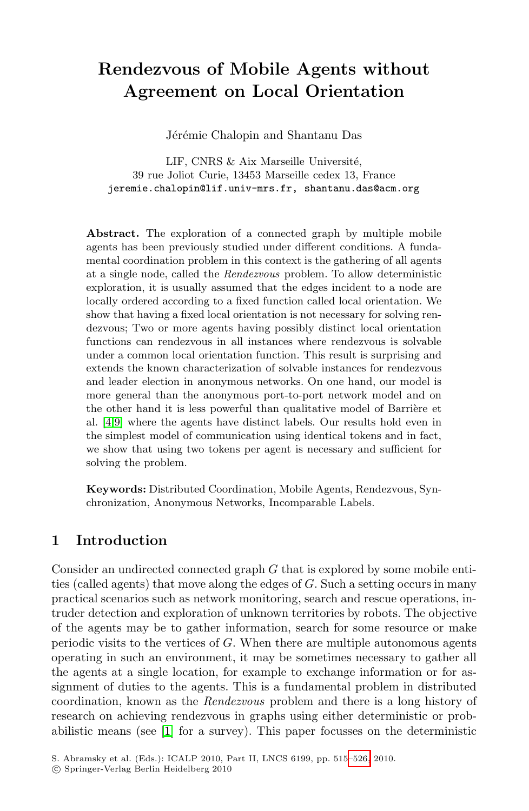# **Rendezvous of Mobile Agents without Agreement on Local Orientation**

Jérémie Chalopin and Shantanu Das

LIF, CNRS & Aix Marseille Université, 39 rue Joliot Curie, 13453 Marseille cedex 13, France jeremie.chalopin@lif.univ-mrs.fr, shantanu.das@acm.org

**Abstract.** The exploration of a connected graph by multiple mobile agents has been previously studied under different conditions. A fundamental coordination problem in this context is the gathering of all agents at a single node, called the *Rendezvous* problem. To allow deterministic exploration, it is usually assumed that the edges incident to a node are locally ordered according to a fixed function called local orientation. We show that having a fixed local orientation is not necessary for solving rendezvous; Two or more agents having possibly distinct local orientation functions can rendezvous in all instances where rendezvous is solvable under a common local orientation function. This result is surprising and extends the known characterization of solvable instances for rendezvous and leader election in anonymous networks. On one hand, our model is more general than the anonymous port-to-port network model and on the other hand it is less powerful than qualitative model of Barrière et al. [4,9] where the agents have distinct labels. Our results hold even in the simplest model of communication using identical tokens and in fact, we show that using two tokens per agent is necessary and sufficient for solving the problem.

**Keywords:** Distributed Coordination, Mobile Agents, Rendezvous, Synchronization, Anonymous Networks, Incomparable Labels.

## **1 Introduction**

Consider an undirected connected graph G that is explored by some mobile entities (called agents) that move along the edges of G. Such a setting occurs in many practical scenarios such as network monitoring, search and rescue operations, intr[ud](#page-11-0)er detection and exploration of unknown territories by robots. The objective of the agents may be to gather information, search for some resource or make periodic visits to the vertices of  $G$ . [When](#page-11-1) there are multiple autonomous agents operating in such an environment, it may be sometimes necessary to gather all the agents at a single location, for example to exchange information or for assignment of duties to the agents. This is a fundamental problem in distributed coordination, known as the *Rendezvous* problem and there is a long history of research on achieving rendezvous in graphs using either deterministic or probabilistic means (see [1] for a survey). This paper focusses on the deterministic

S. Abramsky et al. (Eds.): ICALP 2010, Part II, LNCS 6199, pp. 515–526, 2010.

<sup>-</sup>c Springer-Verlag Berlin Heidelberg 2010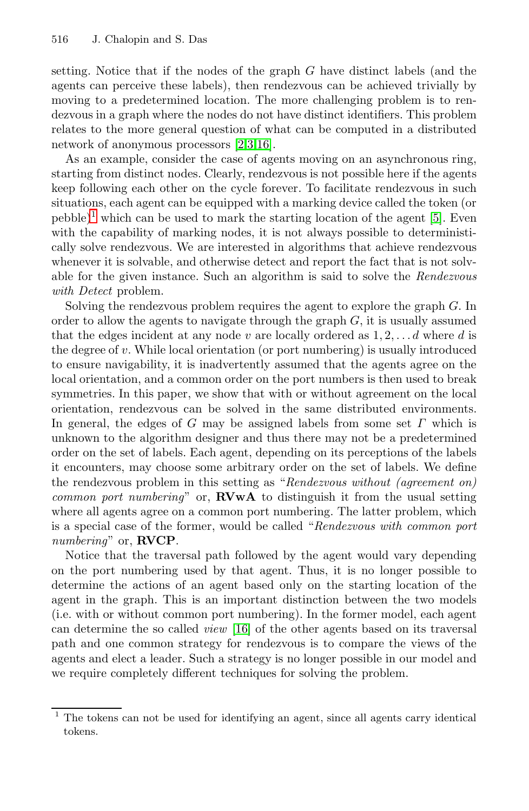setting. Notice that if the nodes of the graph  $G$  have distinct labels (and the agents can perceive these labels), then rendezvous can be achieved trivially by moving to a predetermined location. The more ch[alle](#page-11-5)nging problem is to rendezvous in a graph where the nodes do not have distinct identifiers. This problem relates to the more general question of what can be computed in a distributed network of anonymous processors [2,3,16].

As an example, consider the case of agents moving on an asynchronous ring, starting from distinct nodes. Clearly, rendezvous is not possible here if the agents keep following each other on the cycle forever. To facilitate rendezvous in such situations, each agent can be equipped with a marking device called the token (or pebble)<sup>1</sup> which can be used to mark the starting location of the agent [5]. Even with the capability of marking nodes, it is not always possible to deterministically solve rendezvous. We are interested in algorithms that achieve rendezvous whenever it is solvable, and otherwise detect and report the fact that is not solvable for the given instance. Such an algorithm is said to solve the *Rendezvous with Detect* problem.

Solving the rendezvous problem requires the agent to explore the graph G. In order to allow the agents to navigate through the graph  $G$ , it is usually assumed that the edges incident at any node v are locally ordered as  $1, 2, \ldots$  where d is the degree of  $v$ . While local orientation (or port numbering) is usually introduced to ensure navigability, it is inadvertently assumed that the agents agree on the local orientation, and a common order on the port numbers is then used to break symmetries. In this paper, we show that with or without agreement on the local orientation, rendezvous can be solved in the same distributed environments. In general, the edges of G may be assigned labels from some set  $\Gamma$  which is unknown to the algorithm designer and thus there may not be a predetermined order on the set of labels. Each agent, depending on its perceptions of the labels it encounters, may choose some arbitrary order on the set of labels. We define the rendezvous problem in this setting as "*Rendezvous without (agreement on) common port numbering*" or, **RVwA** to distinguish it from the usual setting where all agent[s ag](#page-11-4)ree on a common port numbering. The latter problem, which is a special case of the former, would be called "*Rendezvous with common port numbering*" or, **RVCP**.

Notice that the traversal path followed by the agent would vary depending on the port numbering used by that agent. Thus, it is no longer possible to determine the actions of an agent based only on the starting location of the agent in the graph. This is an important distinction between the two models (i.e. with or without common port numbering). In the former model, each agent can determine the so called *view* [16] of the other agents based on its traversal path and one common strategy for rendezvous is to compare the views of the agents and elect a leader. Such a strategy is no longer possible in our model and we require completely different techniques for solving the problem.

<sup>1</sup> The tokens can not be used for identifying an agent, since all agents carry identical tokens.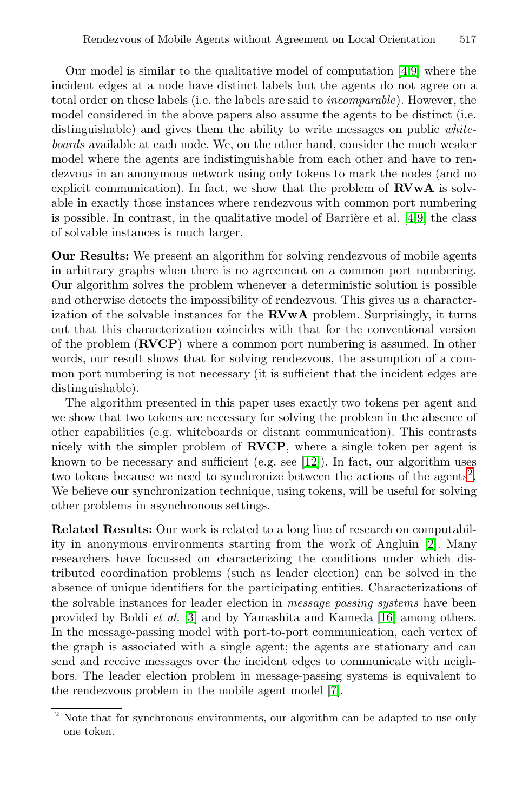Our model is similar to the qualitative model of computation [4,9] where the incident edges at a node have distinct labels but the agents do not agree on a total order on these labels (i.e. the labels are sai[d](#page-11-6) [to](#page-11-7) *incomparable*). However, the model considered in the above papers also assume the agents to be distinct (i.e. distinguishable) and gives them the ability to write messages on public *whiteboards* available at each node. We, on the other hand, consider the much weaker model where the agents are indistinguishable from each other and have to rendezvous in an anonymous network using only tokens to mark the nodes (and no explicit communication). In fact, we show that the problem of **RVwA** is solvable in exactly those instances where rendezvous with common port numbering is possible. In contrast, in the qualitative model of Barrière et al.  $[4.9]$  the class of solvable instances is much larger.

**Our Results:** We present an algorithm for solving rendezvous of mobile agents in arbitrary graphs when there is no agreement on a common port numbering. Our algorithm solves the problem whenever a deterministic solution is possible and otherwise detects the impossibility of rendezvous. This gives us a characterization of the solvable instances for the **RVwA** problem. Surprisingly, it turns out that this characterization coincides with that for the conventional version of the problem (**RVCP**) wh[ere](#page-11-8) a common port numbering is assumed. In other words, our result shows that for solving rendezvous, the [ass](#page-2-0)umption of a common port numbering is not necessary (it is sufficient that the incident edges are distinguishable).

The algorithm presented in this paper uses exactly two tokens per agent and we show that two tokens are necessary for solving the problem in the absence of other capabilities (e.g. whiteboards or distant co[mm](#page-11-2)unication). This contrasts nicely with the simpler problem of **RVCP**, where a single token per agent is known to be necessary and sufficient (e.g. see [12]). In fact, our algorithm uses two tokens because we need to synchronize between the actions of the agents<sup>2</sup>. We believe our synchronization technique, using tokens, will be useful for solving other [pr](#page-11-3)oblems in asynchronous settings.

<span id="page-2-0"></span>**Related Results:** Our work is related to a long line of research on computability in anonymous environments starting from the work of Angluin [2]. Many researchers have focussed on characterizing the conditions under which distributed coordination problems [\(su](#page-11-9)ch as leader election) can be solved in the absence of unique identifiers for the participating entities. Characterizations of the solvable instances for leader election in *message passing systems* have been provided by Boldi *et al.* [3] and by Yamashita and Kameda [16] among others. In the message-passing model with port-to-port communication, each vertex of the graph is associated with a single agent; the agents are stationary and can send and receive messages over the incident edges to communicate with neighbors. The leader election problem in message-passing systems is equivalent to the rendezvous problem in the mobile agent model [7].

<sup>2</sup> Note that for synchronous environments, our algorithm can be adapted to use only one token.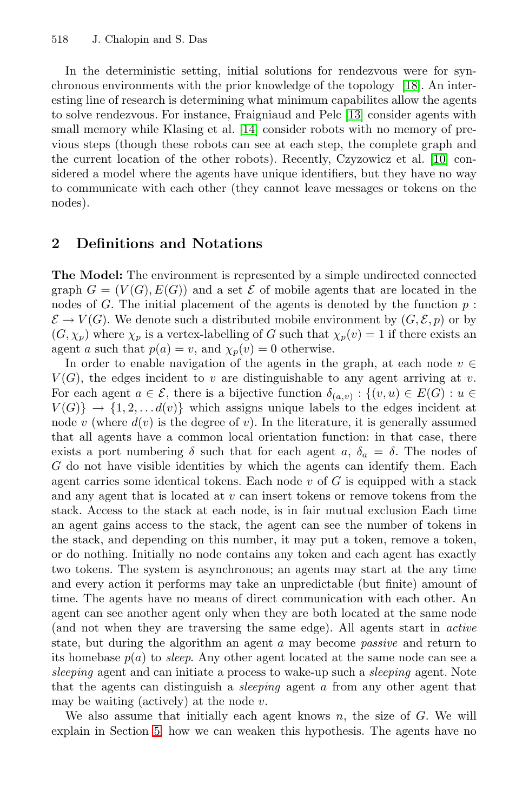In the deterministic setting, initial solutions for rendezvous were for synchronous environments with the prior knowledge of the topology [18]. An interesting line of research is determining what minimum capabilites allow the agents to solve rendezvous. For instance, Fraigniaud and Pelc [13] consider agents with small memory while Klasing et al. [14] consider robots with no memory of previous steps (though these robots can see at each step, the complete graph and the current location of the other robots). Recently, Czyzowicz et al. [10] considered a model where the agents have unique identifiers, but they have no way to communicate with each other (they cannot leave messages or tokens on the nodes).

## **2 Definitions and Notations**

**The Model:** The environment is represented by a simple undirected connected graph  $G = (V(G), E(G))$  and a set  $\mathcal E$  of mobile agents that are located in the nodes of  $G$ . The initial placement of the agents is denoted by the function  $p$ :  $\mathcal{E} \to V(G)$ . We denote such a distributed mobile environment by  $(G, \mathcal{E}, p)$  or by  $(G, \chi_p)$  where  $\chi_p$  is a vertex-labelling of G such that  $\chi_p(v) = 1$  if there exists an agent a such that  $p(a) = v$ , and  $\chi_p(v) = 0$  otherwise.

In order to enable navigation of the agents in the graph, at each node  $v \in$  $V(G)$ , the edges incident to v are distinguishable to any agent arriving at v. For each agent  $a \in \mathcal{E}$ , there is a bijective function  $\delta_{(a,v)} : \{(v, u) \in E(G) : u \in$  $V(G)$   $\rightarrow$  {1, 2,...d(v)} which assigns unique labels to the edges incident at node v (where  $d(v)$  is the degree of v). In the literature, it is generally assumed that all agents have a common local orientation function: in that case, there exists a port numbering  $\delta$  such that for each agent a,  $\delta_a = \delta$ . The nodes of G do not have visible identities by which the agents can identify them. Each agent carries some identical tokens. Each node  $v$  of  $G$  is equipped with a stack and any agent that is located at  $v$  can insert tokens or remove tokens from the stack. Access to the stack at each node, is in fair mutual exclusion Each time an agent gains access to the stack, the agent can see the number of tokens in the stack, and depending on this number, it may put a token, remove a token, or do nothing. Initially no node contains any token and each agent has exactly two tokens. The system is asynchronous; an agents may start at the any time and every action it performs may take an unpredictable (but finite) amount of time. The agents have no means of direct communication with each other. An [ag](#page-10-0)ent can see another agent only when they are both located at the same node (and not when they are traversing the same edge). All agents start in *active* state, but during the algorithm an agent a may become *passive* and return to its homebase  $p(a)$  to *sleep*. Any other agent located at the same node can see a *sleeping* agent and can initiate a process to wake-up such a *sleeping* agent. Note that the agents can distinguish a *sleeping* agent a from any other agent that may be waiting (actively) at the node  $v$ .

We also assume that initially each agent knows  $n$ , the size of  $G$ . We will explain in Section 5, how we can weaken this hypothesis. The agents have no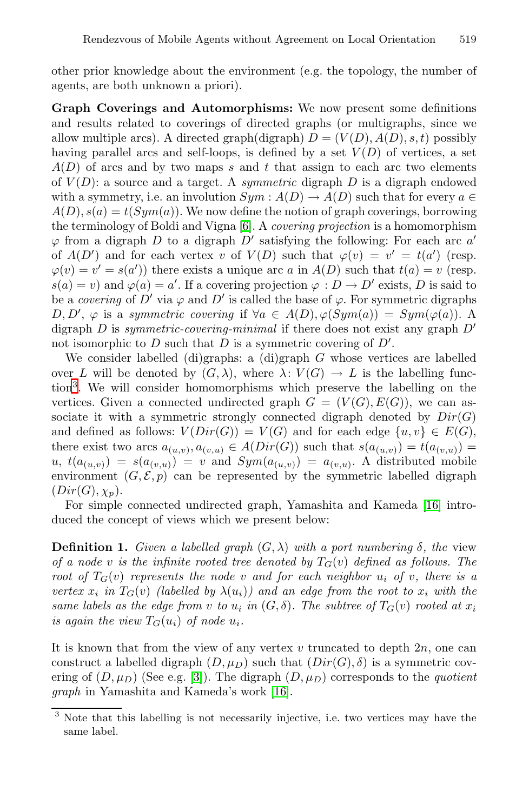other prior knowledge about the environment (e.g. the topology, the number of agents, are both unknown a priori).

**Graph Coveri[ng](#page-11-10)s and Automorphisms:** We now present some definitions and results related to coverings of directed graphs (or multigraphs, since we allow multiple arcs). A directed graph(digraph)  $D = (V(D), A(D), s, t)$  possibly having parallel arcs and self-loops, is defined by a set  $V(D)$  of vertices, a set  $A(D)$  of arcs and by two maps s and t that assign to each arc two elements of  $V(D)$ : a source and a target. A *symmetric* digraph  $D$  is a digraph endowed with a symmetry, i.e. an involution  $Sym : A(D) \to A(D)$  such that for every  $a \in$  $A(D), s(a) = t(Sym(a)).$  We now define the notion of graph coverings, borrowing the terminology of Boldi and Vigna [6]. A *covering projection* is a homomorphism  $\varphi$  from a digraph D to a digraph D' satisfying the following: For each arc a' of  $A(D')$  and for each vertex v of  $V(D)$  such that  $\varphi(v) = v' = t(a')$  (resp.  $\varphi(v) = v' = s(a')$  there exists a unique arc a in  $A(D)$  such that  $t(a) = v$  (resp.  $s(a) = v$  and  $\varphi(a) = a'$ . If a covering projection  $\varphi : D \to D'$  exists, D is said to be a *covering* of D' via  $\varphi$  and D' is called the base of  $\varphi$ . For symmetric digraphs D, D',  $\varphi$  is a *symmetric covering* if  $\forall a \in A(D), \varphi(Sym(a)) = Sym(\varphi(a))$ . A digraph D is *symmetric-covering-minimal* if there does not exist any graph D not isomorphic to  $D$  such that  $\overline{D}$  is a symmetric covering of  $D'$ .

We consider labelled (di)graphs: a (di)graph  $G$  whose vertices are labelled over L will be denoted by  $(G, \lambda)$ , where  $\lambda: V(G) \to L$  is the labelling function<sup>3</sup>. We will consider homomorphisms which p[rese](#page-11-4)rve the labelling on the vertices. Given a connected undirected graph  $G = (V(G), E(G))$ , we can associate it with a symmetric strongly connected digraph denoted by  $Dir(G)$ and defined as follows:  $V(Dir(G)) = V(G)$  and for each edge  $\{u, v\} \in E(G)$ , there exist two arcs  $a_{(u,v)}, a_{(v,u)} \in A(Dir(G))$  such that  $s(a_{(u,v)}) = t(a_{(v,u)})$  $u, t(a_{(u,v)}) = s(a_{(v,u)}) = v$  and  $Sym(a_{(u,v)}) = a_{(v,u)}$ . A distributed mobile environment  $(G, \mathcal{E}, p)$  can be represented by the symmetric labelled digraph  $(Dir(G), \chi_p)$ .

For simple connected undirected graph, Yamashita and Kameda [16] introduced the concept of views which we present below:

**Definition 1.** *Given a labelled graph*  $(G, \lambda)$  *with a port numbering*  $\delta$ *, the* view *of a n[ode](#page-11-3)* v *is the infinite rooted tree denoted by*  $T_G(v)$  *defined as follows. The root of*  $T_G(v)$  *represe[nts](#page-11-4)* the node v and for each neighbor  $u_i$  of v, there is a *vertex*  $x_i$  *in*  $T_G(v)$  (labelled by  $\lambda(u_i)$ ) and an edge from the root to  $x_i$  with the *same labels as the edge from* v *to*  $u_i$  *in*  $(G, \delta)$ *. The subtree of*  $T_G(v)$  *rooted at*  $x_i$ *is again the view*  $T_G(u_i)$  *of node*  $u_i$ *.* 

It is known that from the view of any vertex  $v$  truncated to depth  $2n$ , one can construct a labelled digraph  $(D, \mu_D)$  such that  $(Dir(G), \delta)$  is a symmetric covering of  $(D, \mu_D)$  (See e.g. [3]). The digraph  $(D, \mu_D)$  corresponds to the *quotient graph* in Yamashita and Kameda's work [16].

<sup>3</sup> Note that this labelling is not necessarily injective, i.e. two vertices may have the same label.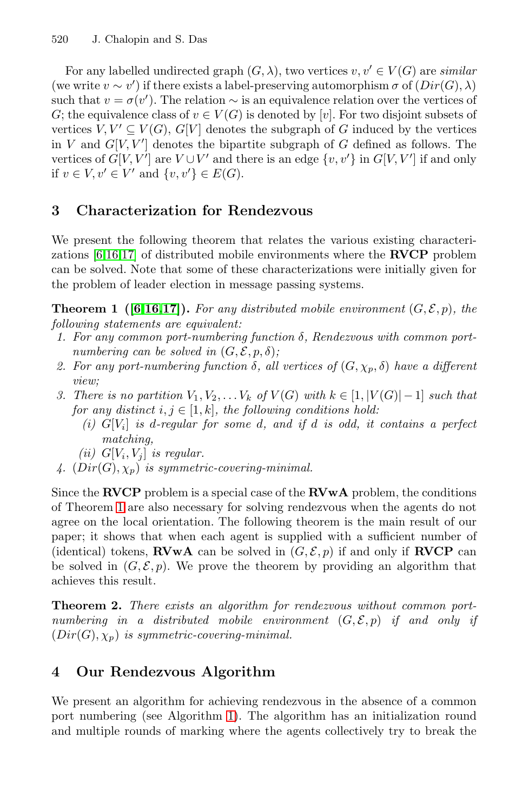For any labelled undirected graph  $(G, \lambda)$ , two vertices  $v, v' \in V(G)$  are *similar* (we write  $v \sim v'$ ) if there exists a label-preserving automorphism  $\sigma$  of  $(Dir(G), \lambda)$ such that  $v = \sigma(v')$ . The relation ∼ is an equivalence relation over the vertices of G; the equivalence class of  $v \in V(G)$  is denoted by [v]. For two disjoint subsets of vertices  $V, V' \subseteq V(G), G[V]$  denotes the subgraph of G induced by the vertices in V and  $G[V, V']$  denotes the bipartite subgraph of G defined as follows. The vertices of  $G[V, V']$  are  $V \cup V'$  and there is an edge  $\{v, v'\}$  in  $G[V, V']$  if and only if  $v \in V$ ,  $v' \in V'$  and  $\{v, v'\} \in E(G)$ .

#### <span id="page-5-0"></span>**3 Characterization for Rendezvous**

We present the following theorem that relates the various existing characterizations [6,16,17] of distributed mobile environments where the **RVCP** problem can be solved. Note that some of these characterizations were initially given for the problem of leader election in message passing systems.

**Theorem 1** ([6,16,17]). For any distributed mobile environment  $(G, \mathcal{E}, p)$ , the *following statements are equivalent:*

- *1. For any common port-numbering function* δ*, Rendezvous with common portnumbering can be solved in*  $(G, \mathcal{E}, p, \delta)$ ;
- *2. For any port-numbering function* δ*, all vertices of* (G, χ*p*, δ) *have a different view;*
- *3. There is no partition*  $V_1, V_2, \ldots V_k$  *of*  $V(G)$  *with*  $k \in [1, |V(G)| 1]$  *such that for any distinct*  $i, j \in [1, k]$ *, the following conditions hold:* 
	- *(i)* G[V*i*] *is* d*-regular for some* d*, and if* d *is odd, it contains a perfect matching,*
	- *(ii)*  $G[V_i, V_j]$  *is regular.*
- 4.  $(Dir(G), \chi_p)$  *is symmetric-covering-minimal.*

<span id="page-5-1"></span>Since the **RVCP** problem is a special case of the **RVwA** problem, the conditions of Theorem 1 are also necessary for solving rendezvous when the agents do not agree on the local orientation. The following theorem is the main result of our paper; it shows that when each agent is supplied with a sufficient number of (identical) tokens, **RVwA** can be solved in  $(G, \mathcal{E}, p)$  if and only if **RVCP** can be solved in  $(G, \mathcal{E}, p)$ . We prove the theorem by providing an algorithm that achieves this result.

**Theorem 2.** *[T](#page-6-0)here exists an algorithm for rendezvous without common portnumbering in a distributed mobile environment*  $(G, \mathcal{E}, p)$  *if and only if*  $(Dir(G), \chi_n)$  *is symmetric-covering-minimal.* 

## **4 Our Rendezvous Algorithm**

We present an algorithm for achieving rendezvous in the absence of a common port numbering (see Algorithm 1). The algorithm has an initialization round and multiple rounds of marking where the agents collectively try to break the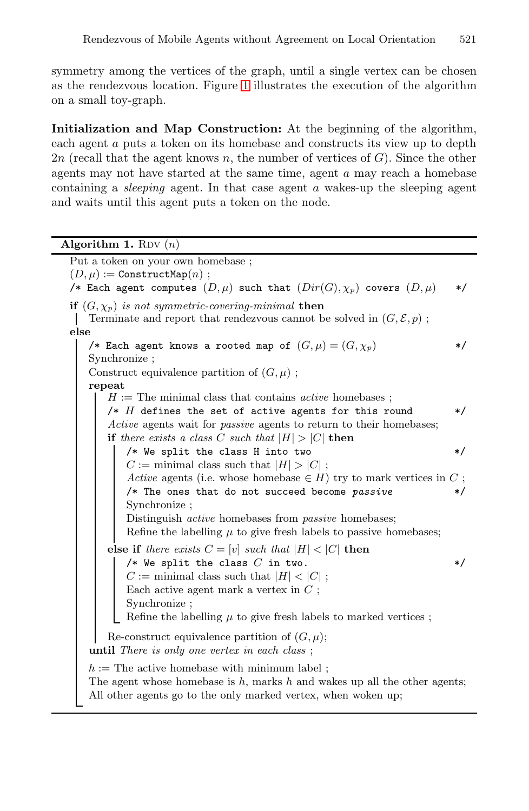<span id="page-6-0"></span>symmetry among the vertices of the graph, until a single vertex can be chosen as the rendezvous location. Figure 1 illustrates the execution of the algorithm on a small toy-graph.

**Initialization and Map Construction:** At the beginning of the algorithm, each agent a puts a token on its homebase and constructs its view up to depth 2n (recall that the agent knows n, the number of vertices of  $G$ ). Since the other agents may not have started at the same time, agent a may reach a homebase containing a *sleeping* agent. In that case agent a wakes-up the sleeping agent and waits until this agent puts a token on the node.

## **Algorithm 1.** RDV  $(n)$

| Put a token on your own homebase;                                                                                             |    |
|-------------------------------------------------------------------------------------------------------------------------------|----|
| $(D,\mu) :=$ ConstructMap $(n)$ ;                                                                                             |    |
| /* Each agent computes $(D,\mu)$ such that $(Dir(G),\chi_p)$ covers $(D,\mu)$                                                 | */ |
| if $(G, \chi_p)$ is not symmetric-covering-minimal then                                                                       |    |
| Terminate and report that rendezvous cannot be solved in $(G, \mathcal{E}, p)$ ;                                              |    |
| else                                                                                                                          |    |
| /* Each agent knows a rooted map of $(G, \mu) = (G, \chi_p)$                                                                  | */ |
| Synchronize ;                                                                                                                 |    |
| Construct equivalence partition of $(G, \mu)$ ;                                                                               |    |
| repeat                                                                                                                        |    |
| $H :=$ The minimal class that contains <i>active</i> homebases;                                                               |    |
| $/*$ H defines the set of active agents for this round                                                                        | */ |
| <i>Active</i> agents wait for <i>passive</i> agents to return to their homebases;                                             |    |
| if there exists a class C such that $ H  >  C $ then                                                                          |    |
| /* We split the class H into two<br>*/                                                                                        |    |
| $C := \text{minimal class such that }  H  >  C $ ;<br>Active agents (i.e. whose homebase $\in H$ ) try to mark vertices in C; |    |
| /* The ones that do not succeed become passive<br>*/                                                                          |    |
| Synchronize;                                                                                                                  |    |
| Distinguish <i>active</i> homebases from <i>passive</i> homebases;                                                            |    |
| Refine the labelling $\mu$ to give fresh labels to passive homebases;                                                         |    |
|                                                                                                                               |    |
| else if there exists $C = [v]$ such that $ H  <  C $ then                                                                     |    |
| /* We split the class $C$ in two.<br>*/<br>$C := \text{minimal class such that }  H  <  C $ ;                                 |    |
| Each active agent mark a vertex in $C$ ;                                                                                      |    |
| Synchronize;                                                                                                                  |    |
| Refine the labelling $\mu$ to give fresh labels to marked vertices;                                                           |    |
|                                                                                                                               |    |
| Re-construct equivalence partition of $(G, \mu)$ ;                                                                            |    |
| <b>until</b> There is only one vertex in each class;                                                                          |    |
| $h :=$ The active homebase with minimum label;                                                                                |    |
| The agent whose homebase is $h$ , marks $h$ and wakes up all the other agents;                                                |    |
| All other agents go to the only marked vertex, when woken up;                                                                 |    |
|                                                                                                                               |    |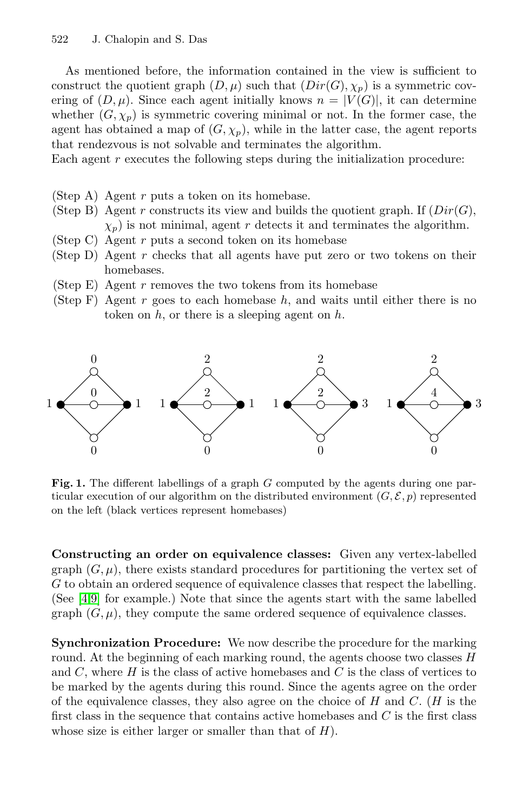As mentioned before, the information contained in the view is sufficient to construct the quotient graph  $(D, \mu)$  such that  $(Dir(G), \chi_p)$  is a symmetric covering of  $(D, \mu)$ . Since each agent initially knows  $n = |V(G)|$ , it can determine whether  $(G, \chi_p)$  is symmetric covering minimal or not. In the former case, the agent has obtained a map of  $(G, \chi_p)$ , while in the latter case, the agent reports that rendezvous is not solvable and terminates the algorithm.

Each agent  $r$  executes the following steps during the initialization procedure:

- (Step A) Agent  $r$  puts a token on its homebase.
- (Step B) Agent r constructs its view and builds the quotient graph. If  $(Dir(G),$  $\chi_p$ ) is not minimal, agent r detects it and terminates the algorithm.
- (Step C) Agent  $r$  puts a second token on its homebase
- (Step D) Agent  $r$  checks that all agents have put zero or two tokens on their homebases.
- (Step E) Agent  $r$  removes the two tokens from its homebase
- (Step F) Agent r goes to each homebase  $h$ , and waits until either there is no token on  $h$ , or there is a sleeping agent on  $h$ .



Fig. 1. The different labellings of a graph G computed by the agents during one particular execution of our algorithm on the distributed environment  $(G, \mathcal{E}, p)$  represented on the left (black vertices represent homebases)

**Constructing an order on equivalence classes:** Given any vertex-labelled graph  $(G, \mu)$ , there exists standard procedures for partitioning the vertex set of G to obtain an ordered sequence of equivalence classes that respect the labelling. (See [4,9] for example.) Note that since the agents start with the same labelled graph  $(G, \mu)$ , they compute the same ordered sequence of equivalence classes.

**Synchronization Procedure:** We now describe the procedure for the marking round. At the beginning of each marking round, the agents choose two classes H and  $C$ , where  $H$  is the class of active homebases and  $C$  is the class of vertices to be marked by the agents during this round. Since the agents agree on the order of the equivalence classes, they also agree on the choice of  $H$  and  $C$ . ( $H$  is the first class in the sequence that contains active homebases and  $C$  is the first class whose size is either larger or smaller than that of  $H$ ).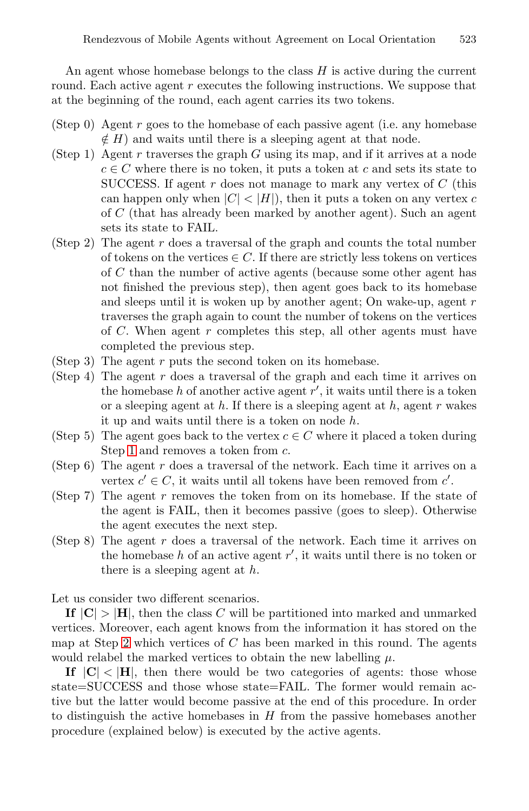An agent whose homebase belongs to the class  $H$  is active during the current round. Each active agent r executes the following instructions. We suppose that at the beginning of the round, each agent carries its two tokens.

- (Step 0) Agent  $r$  goes to the homebase of each passive agent (i.e. any homebase  $\notin H$ ) and waits until there is a sleeping agent at that node.
- (Step 1) Agent  $r$  traverses the graph  $G$  using its map, and if it arrives at a node  $c \in C$  where there is no token, it puts a token at c and sets its state to SUCCESS. If agent  $r$  does not manage to mark any vertex of  $C$  (this can happen only when  $|C| < |H|$ , then it puts a token on any vertex c of C (that has already been marked by another agent). Such an agent sets its state to FAIL.
- (Step 2) The agent  $r$  does a traversal of the graph and counts the total number of tokens on the vertices  $\in C$ . If there are strictly less tokens on vertices of C than the number of active agents (because some other agent has not finished the previous step), then agent goes back to its homebase and sleeps until it is woken up by another agent; On wake-up, agent r traverses the graph again to count the number of tokens on the vertices of  $C$ . When agent  $r$  completes this step, all other agents must have completed the previous step.
- (Step 3) The agent  $r$  puts the second token on its homebase.
- (Step 4) The agent  $r$  does a traversal of the graph and each time it arrives on the homebase  $h$  of another active agent  $r'$ , it waits until there is a token or a sleeping agent at  $h$ . If there is a sleeping agent at  $h$ , agent  $r$  wakes it up and waits until there is a token on node h.
- (Step 5) The agent goes back to the vertex  $c \in C$  where it placed a token during Step 1 and removes a token from  $c$ .
- (Step 6) The agent  $r$  does a traversal of the network. Each time it arrives on a vertex  $c' \in C$ , it waits until all tokens have been removed from  $c'$ .
- (Step 7) The agent  $r$  removes the token from on its homebase. If the state of the agent is FAIL, then it becomes passive (goes to sleep). Otherwise the agent executes the next step.
- (Step 8) The agent  $r$  does a traversal of the network. Each time it arrives on the homebase  $h$  of an active agent  $r'$ , it waits until there is no token or there is a sleeping agent at  $h$ .

Let us consider two different scenarios.

**If**  $|C| > |H|$ , then the class C will be partitioned into marked and unmarked vertices. Moreover, each agent knows from the information it has stored on the map at Step 2 which vertices of  $C$  has been marked in this round. The agents would relabel the marked vertices to obtain the new labelling  $\mu$ .

**If**  $|C| < |H|$ , then there would be two categories of agents: those whose state=SUCCESS and those whose state=FAIL. The former would remain active but the latter would become passive at the end of this procedure. In order to distinguish the active homebases in  $H$  from the passive homebases another procedure (explained below) is executed by the active agents.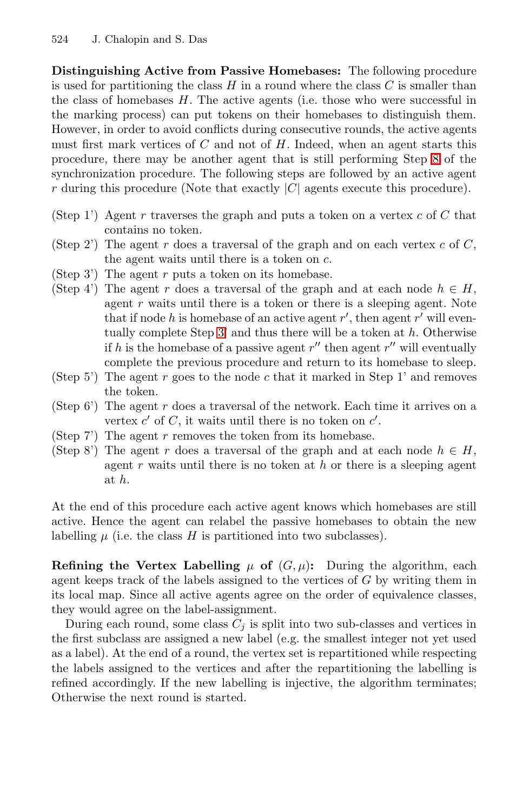**Distinguishing Active from Passive Homebases:** The following procedure is used for partitioning the class  $H$  in a round where the class  $C$  is smaller than the class of homebases  $H$ . The active agents (i.e. those who were successful in the marking process) can put tokens on their homebases to distinguish them. However, in order to avoid conflicts during consecutive rounds, the active agents must first mark vertices of  $C$  and not of  $H$ . Indeed, when an agent starts this procedure, there may be another agent that is still performing Step 8 of the synchronization procedure. The following steps are followed by an active agent  $r$  during this procedure (Note that exactly  $|C|$  agents execute this procedure).

- <span id="page-9-0"></span>(Step 1') A[ge](#page-9-0)nt r traverses the graph and puts a token on a vertex  $c$  of  $C$  that contains no token.
- (Step 2) The agent r does a traversal of the graph and on each vertex c of  $C$ . the agent waits until there is a token on c.
- (Step 3') The agent r puts a token on its homebase.
- (Step 4') The agent r does a traversal of the graph and at each node  $h \in H$ , agent  $r$  waits until there is a token or there is a sleeping agent. Note that if node  $h$  is homebase of an active agent  $r'$ , then agent  $r'$  will eventually complete Step 3' and thus there will be a token at  $h$ . Otherwise if h is the homebase of a passive agent  $r''$  then agent  $r''$  will eventually complete the previous procedure and return to its homebase to sleep.
- (Step 5') The agent  $r$  goes to the node  $c$  that it marked in Step 1' and removes the token.
- (Step 6') The agent r does a traversal of the network. Each time it arrives on a vertex  $c'$  of  $C$ , it waits until there is no token on  $c'$ .
- (Step  $7'$ ) The agent r removes the token from its homebase.
- (Step 8') The agent r does a traversal of the graph and at each node  $h \in H$ , agent r waits until there is no token at  $h$  or there is a sleeping agent at h.

At the end of this procedure each active agent knows which homebases are still active. Hence the agent can relabel the passive homebases to obtain the new labelling  $\mu$  (i.e. the class H is partitioned into two subclasses).

**Refining the Vertex Labelling**  $\mu$  **of**  $(G, \mu)$ **:** During the algorithm, each agent keeps track of the labels assigned to the vertices of G by writing them in its local map. Since all active agents agree on the order of equivalence classes, they would agree on the label-assignment.

During each round, some class  $C_j$  is split into two sub-classes and vertices in the first subclass are assigned a new label (e.g. the smallest integer not yet used as a label). At the end of a round, the vertex set is repartitioned while respecting the labels assigned to the vertices and after the repartitioning the labelling is refined accordingly. If the new labelling is injective, the algorithm terminates; Otherwise the next round is started.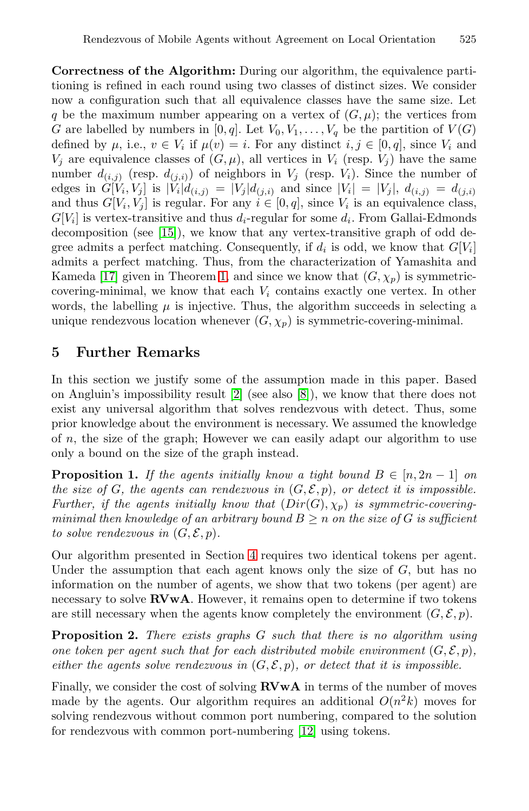**Correctness of the Algorithm:** During our algorithm, the equivalence partitioning is refined in each round using two classes of distinct sizes. We consider now a configuration such that all equivalence classes have the same size. Let q [be](#page-11-11) the maximum number appearing on a vertex of  $(G, \mu)$ ; the vertices from G are labelled by numbers in [0, q]. Let  $V_0, V_1, \ldots, V_q$  be the partition of  $V(G)$ defined by  $\mu$ , i.e.,  $v \in V_i$  if  $\mu(v) = i$ . For any distinct  $i, j \in [0, q]$ , since  $V_i$  and  $V_j$  are equi[val](#page-5-0)ence classes of  $(G, \mu)$ , all vertices in  $V_i$  (resp.  $V_j$ ) have the same number  $d_{(i,j)}$  (resp.  $d_{(j,i)}$ ) of neighbors in  $V_j$  (resp.  $V_i$ ). Since the number of edges in  $G[V_i, V_j]$  is  $|V_i|d_{(i,j)} = |V_j|d_{(j,i)}$  and since  $|V_i| = |V_j|, d_{(i,j)} = d_{(j,i)}$ and thus  $G[V_i, V_j]$  is regular. For any  $i \in [0, q]$ , since  $V_i$  is an equivalence class,  $G[V_i]$  is vertex-transitive and thus  $d_i$ -regular for some  $d_i$ . From Gallai-Edmonds decomposition (see [15]), we know that any vertex-transitive graph of odd degree admits a perfect matching. Consequently, if  $d_i$  is odd, we know that  $G[V_i]$ admits a perfect matching. Thus, from the characterization of Yamashita and Kameda [17] g[ive](#page-11-2)n in Theo[re](#page-11-12)m 1, and since we know that  $(G, \chi_p)$  is symmetriccovering-minimal, we know that each V*<sup>i</sup>* contains exactly one vertex. In other words, the labelling  $\mu$  is injective. Thus, the algorithm succeeds in selecting a unique rendezvous location whenever  $(G, \chi_p)$  is symmetric-covering-minimal.

## <span id="page-10-0"></span>**5 Further Remarks**

In this section we justify some of the assumption made in this paper. Based on Angluin's impossibility result [2] (see also [8]), we know that there does not exist any universal algorithm that solves rendezvous with detect. Thus, some prior knowledge about the environment is necessary. We assumed the knowledge of  $n$ , t[he](#page-5-1) size of the graph; However we can easily adapt our algorithm to use only a bound on the size of the graph instead.

**Proposition 1.** *If the agents initially know a tight bound*  $B \in [n, 2n - 1]$  *on the size of G, the agents can rendezvous in*  $(G, \mathcal{E}, p)$ *, or detect it is impossible. Further, if the agents initially know that*  $(Dir(G), \chi_p)$  *is symmetric-coveringminimal then knowledge of an arbitrary bound*  $B \geq n$  *on the size of* G *is sufficient to solve rendezvous in*  $(G, \mathcal{E}, p)$ *.* 

Our algorithm presented in Section 4 requires two identical tokens per agent. Under the assumption that each agent knows only the size of  $G$ , but has no information on the number of agents, we show that two tokens (per agent) are necessary to solve **RVwA**. However, it remains open to determine if two tokens are still necessary when th[e ag](#page-11-8)ents know completely the environment  $(G, \mathcal{E}, p)$ .

**Proposition 2.** *There exists graphs* G *such that there is no algorithm using one token per agent such that for each distributed mobile environment*  $(G, \mathcal{E}, p)$ , *either the agents solve rendezvous in*  $(G, \mathcal{E}, p)$ *, or detect that it is impossible.* 

Finally, we consider the cost of solving **RVwA** in terms of the number of moves made by the agents. Our algorithm requires an additional  $O(n^2k)$  moves for solving rendezvous without common port numbering, compared to the solution for rendezvous with common port-numbering [12] using tokens.